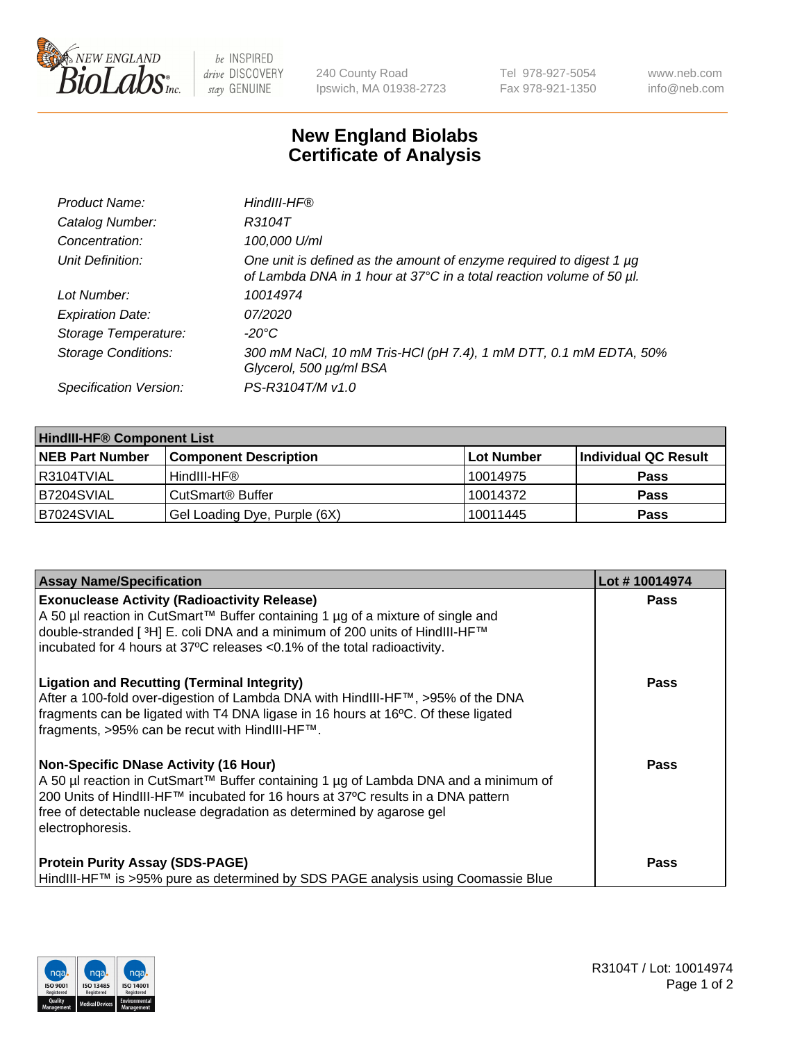

 $be$  INSPIRED drive DISCOVERY stay GENUINE

240 County Road Ipswich, MA 01938-2723 Tel 978-927-5054 Fax 978-921-1350 www.neb.com info@neb.com

## **New England Biolabs Certificate of Analysis**

| Product Name:              | HindIII-HF®                                                                                                                                      |
|----------------------------|--------------------------------------------------------------------------------------------------------------------------------------------------|
| Catalog Number:            | R3104T                                                                                                                                           |
| Concentration:             | 100,000 U/ml                                                                                                                                     |
| Unit Definition:           | One unit is defined as the amount of enzyme required to digest 1 $\mu$ g<br>of Lambda DNA in 1 hour at 37°C in a total reaction volume of 50 µl. |
| Lot Number:                | 10014974                                                                                                                                         |
| <b>Expiration Date:</b>    | 07/2020                                                                                                                                          |
| Storage Temperature:       | -20°C                                                                                                                                            |
| <b>Storage Conditions:</b> | 300 mM NaCl, 10 mM Tris-HCl (pH 7.4), 1 mM DTT, 0.1 mM EDTA, 50%<br>Glycerol, 500 µg/ml BSA                                                      |
| Specification Version:     | PS-R3104T/M v1.0                                                                                                                                 |

| <b>HindIII-HF® Component List</b> |                              |            |                      |  |  |
|-----------------------------------|------------------------------|------------|----------------------|--|--|
| <b>NEB Part Number</b>            | <b>Component Description</b> | Lot Number | Individual QC Result |  |  |
| I R3104TVIAL                      | HindIII-HF®                  | 10014975   | <b>Pass</b>          |  |  |
| B7204SVIAL                        | CutSmart <sup>®</sup> Buffer | 10014372   | <b>Pass</b>          |  |  |
| B7024SVIAL                        | Gel Loading Dye, Purple (6X) | 10011445   | <b>Pass</b>          |  |  |

| <b>Assay Name/Specification</b>                                                                                                                                                                                                                                                                                 | Lot #10014974 |
|-----------------------------------------------------------------------------------------------------------------------------------------------------------------------------------------------------------------------------------------------------------------------------------------------------------------|---------------|
| <b>Exonuclease Activity (Radioactivity Release)</b><br>  A 50 µl reaction in CutSmart™ Buffer containing 1 µg of a mixture of single and<br>double-stranded [ <sup>3</sup> H] E. coli DNA and a minimum of 200 units of HindIII-HF™<br>incubated for 4 hours at 37°C releases <0.1% of the total radioactivity. | <b>Pass</b>   |
| <b>Ligation and Recutting (Terminal Integrity)</b><br>After a 100-fold over-digestion of Lambda DNA with HindIII-HF™, >95% of the DNA<br>fragments can be ligated with T4 DNA ligase in 16 hours at 16°C. Of these ligated<br>fragments, >95% can be recut with HindIII-HF™.                                    | Pass          |
| Non-Specific DNase Activity (16 Hour)<br>A 50 µl reaction in CutSmart™ Buffer containing 1 µg of Lambda DNA and a minimum of<br>200 Units of HindIII-HF™ incubated for 16 hours at 37°C results in a DNA pattern<br>free of detectable nuclease degradation as determined by agarose gel<br>electrophoresis.    | Pass          |
| <b>Protein Purity Assay (SDS-PAGE)</b><br>HindIII-HF™ is >95% pure as determined by SDS PAGE analysis using Coomassie Blue                                                                                                                                                                                      | <b>Pass</b>   |